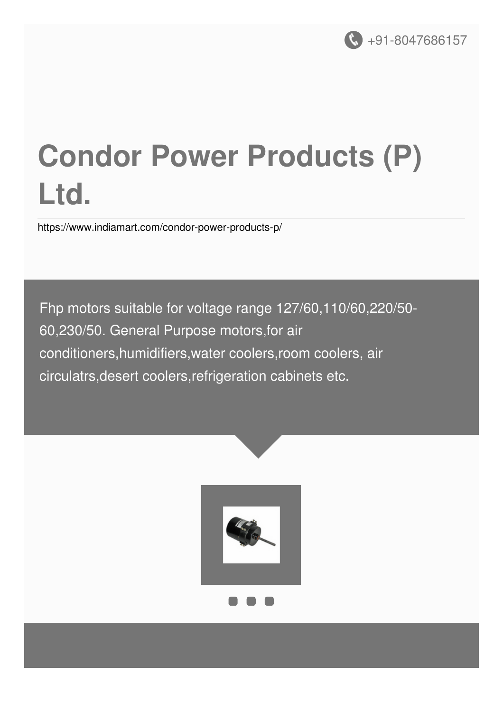

# **Condor Power Products (P) Ltd.**

<https://www.indiamart.com/condor-power-products-p/>

Fhp motors suitable for voltage range 127/60,110/60,220/50- 60,230/50. General Purpose motors,for air conditioners,humidifiers,water coolers,room coolers, air circulatrs,desert coolers,refrigeration cabinets etc.

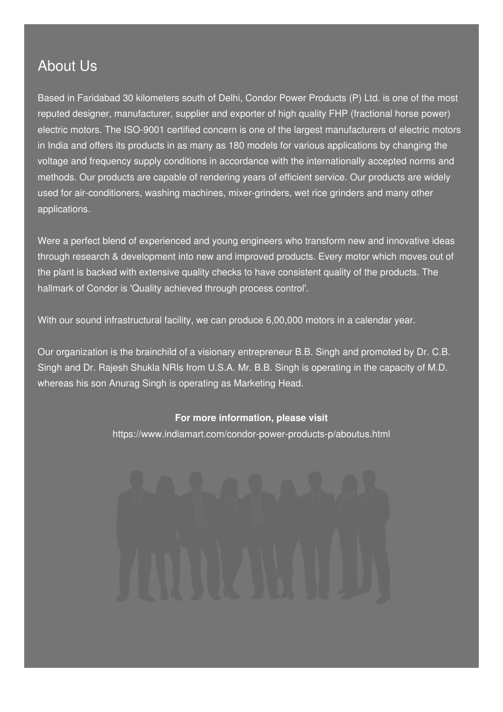#### About Us

Based in Faridabad 30 kilometers south of Delhi, Condor Power Products (P) Ltd. is one of the most reputed designer, manufacturer, supplier and exporter of high quality FHP (fractional horse power) electric motors. The ISO-9001 certified concern is one of the largest manufacturers of electric motors in India and offers its products in as many as 180 models for various applications by changing the voltage and frequency supply conditions in accordance with the internationally accepted norms and methods. Our products are capable of rendering years of efficient service. Our products are widely used for air-conditioners, washing machines, mixer-grinders, wet rice grinders and many other applications.

Were a perfect blend of experienced and young engineers who transform new and innovative ideas through research & development into new and improved products. Every motor which moves out of the plant is backed with extensive quality checks to have consistent quality of the products. The hallmark of Condor is 'Quality achieved through process control'.

With our sound infrastructural facility, we can produce 6,00,000 motors in a calendar year.

Our organization is the brainchild of a visionary entrepreneur B.B. Singh and promoted by Dr. C.B. Singh and Dr. Rajesh Shukla NRIs from U.S.A. Mr. B.B. Singh is operating in the capacity of M.D. whereas his son Anurag Singh is operating as Marketing Head.

#### **For more information, please visit**

<https://www.indiamart.com/condor-power-products-p/aboutus.html>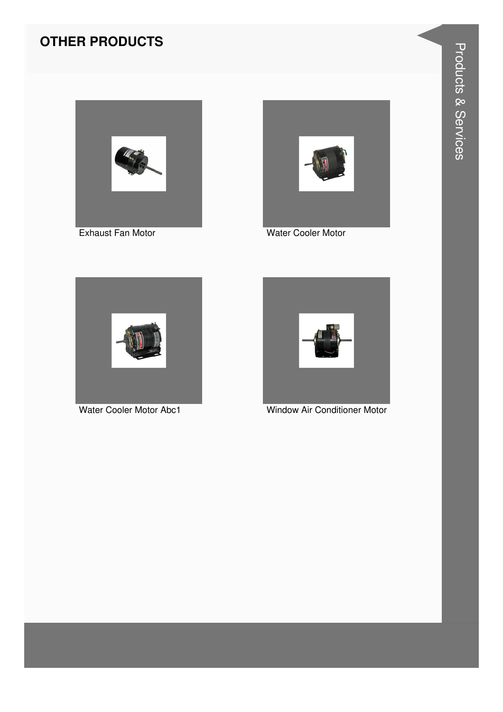



Water Cooler Motor



Water Cooler Motor Abc1



Window Air Conditioner Motor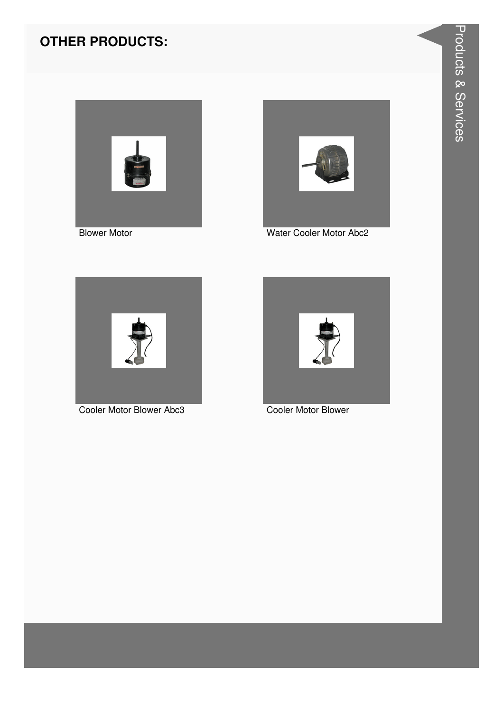



Water Cooler Motor Abc2



Cooler Motor Blower Abc3



Cooler Motor Blower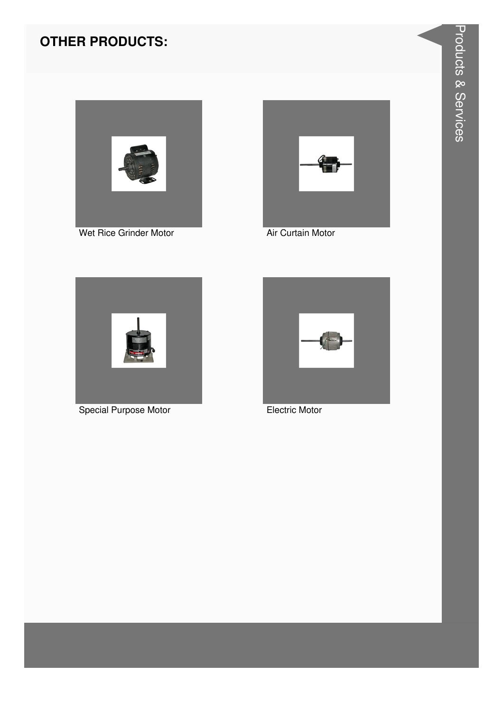



Air Curtain Motor



**Special Purpose Motor** 



**Electric Motor**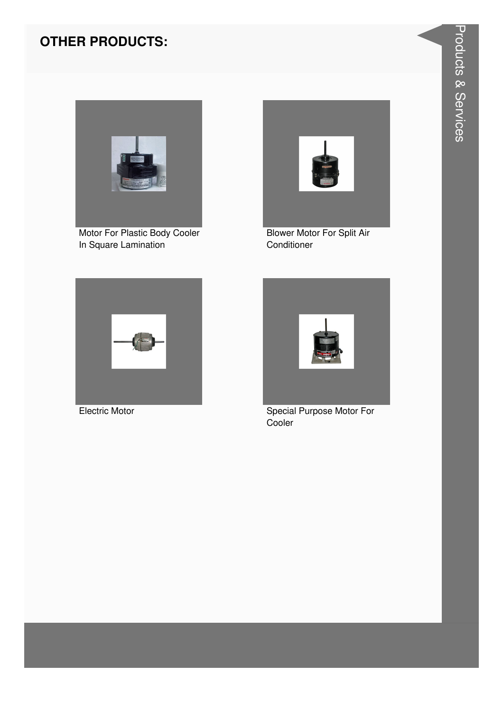

Motor For Plastic Body Cooler In Square Lamination



**Blower Motor For Split Air** Conditioner



**Electric Motor** 



Special Purpose Motor For Cooler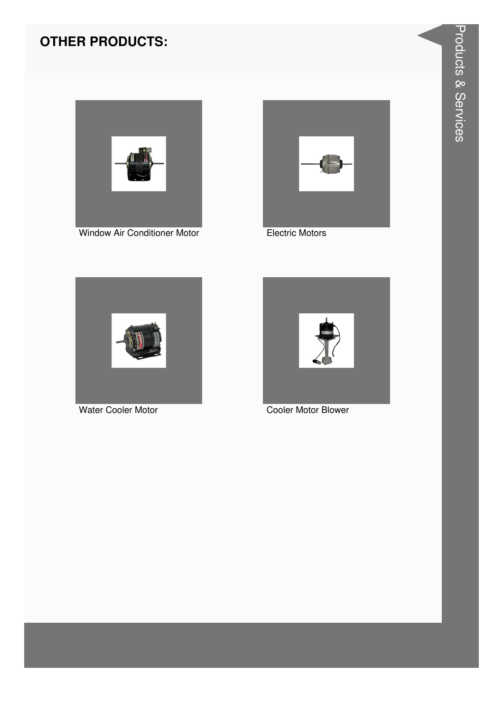

Window Air Conditioner Motor



**Electric Motors** 



Water Cooler Motor



Cooler Motor Blower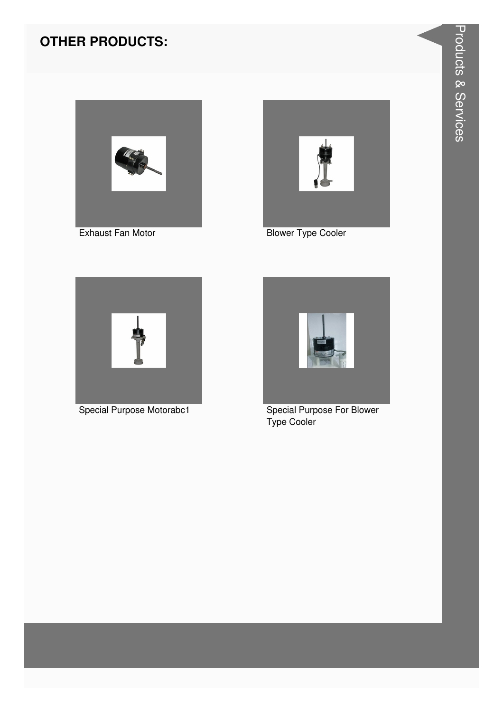



**Blower Type Cooler** 



Special Purpose Motorabc1



**Special Purpose For Blower** Type Cooler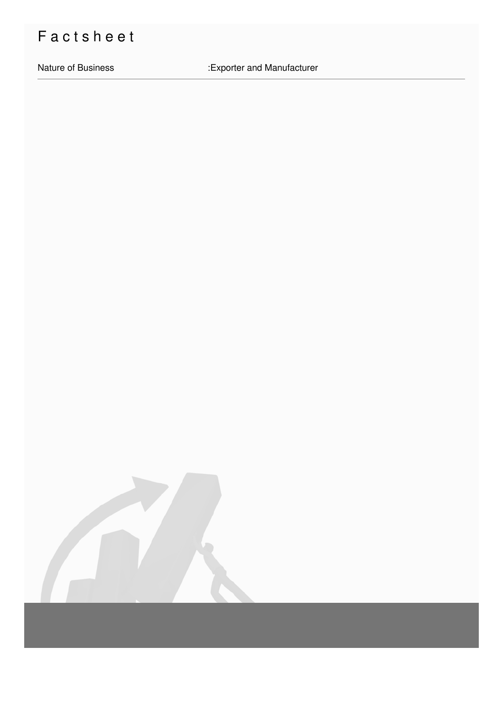## Factsheet

Nature of Business

:Exporter and Manufacturer